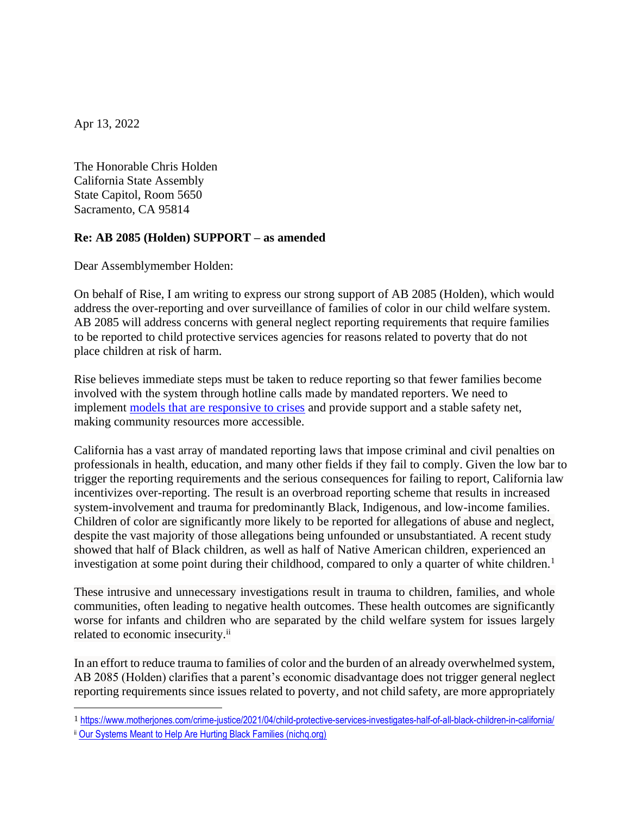Apr 13, 2022

The Honorable Chris Holden California State Assembly State Capitol, Room 5650 Sacramento, CA 95814

## **Re: AB 2085 (Holden) SUPPORT – as amended**

Dear Assemblymember Holden:

On behalf of Rise, I am writing to express our strong support of AB 2085 (Holden), which would address the over-reporting and over surveillance of families of color in our child welfare system. AB 2085 will address concerns with general neglect reporting requirements that require families to be reported to child protective services agencies for reasons related to poverty that do not place children at risk of harm.

Rise believes immediate steps must be taken to reduce reporting so that fewer families become involved with the system through hotline calls made by mandated reporters. We need to implement [models that are responsive to crises](https://www.risemagazine.org/wp-content/uploads/2021/05/Rise_PeerCareInsights2021_Final.pdf) and provide support and a stable safety net, making community resources more accessible.

California has a vast array of mandated reporting laws that impose criminal and civil penalties on professionals in health, education, and many other fields if they fail to comply. Given the low bar to trigger the reporting requirements and the serious consequences for failing to report, California law incentivizes over-reporting. The result is an overbroad reporting scheme that results in increased system-involvement and trauma for predominantly Black, Indigenous, and low-income families. Children of color are significantly more likely to be reported for allegations of abuse and neglect, despite the vast majority of those allegations being unfounded or unsubstantiated. A recent study showed that half of Black children, as well as half of Native American children, experienced an investigation at some point during their childhood, compared to only a quarter of white children.<sup>1</sup>

These intrusive and unnecessary investigations result in trauma to children, families, and whole communities, often leading to negative health outcomes. These health outcomes are significantly worse for infants and children who are separated by the child welfare system for issues largely related to economic insecurity.<sup>ii</sup>

In an effort to reduce trauma to families of color and the burden of an already overwhelmed system, AB 2085 (Holden) clarifies that a parent's economic disadvantage does not trigger general neglect reporting requirements since issues related to poverty, and not child safety, are more appropriately

<sup>1</sup> <https://www.motherjones.com/crime-justice/2021/04/child-protective-services-investigates-half-of-all-black-children-in-california/>

ii [Our Systems Meant to Help Are Hurting Black Families \(nichq.org\)](https://www.nichq.org/insight/our-systems-meant-help-are-hurting-black-families)